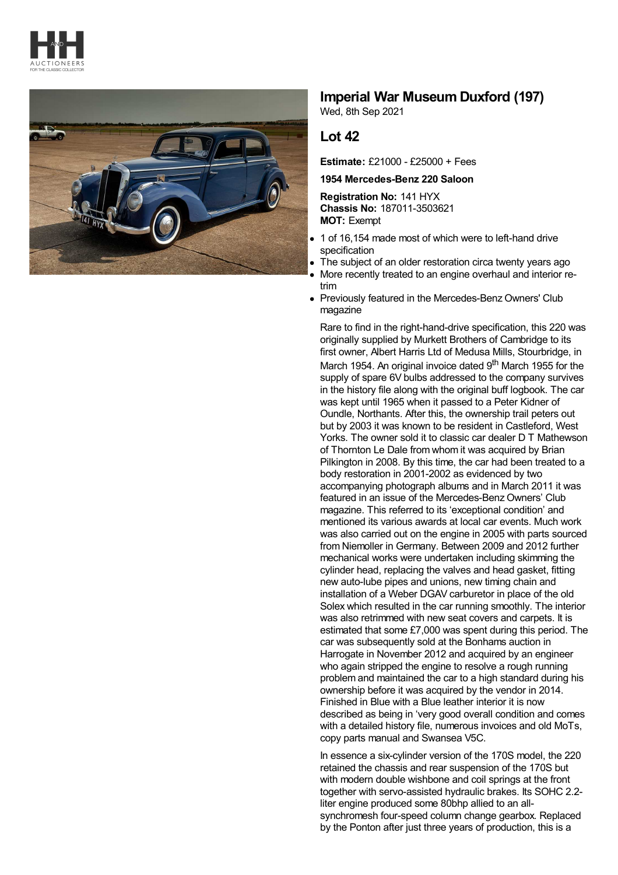



## **Imperial War Museum Duxford (197)**

Wed, 8th Sep 2021

## **Lot 42**

**Estimate:** £21000 - £25000 + Fees

**1954 Mercedes-Benz 220 Saloon**

**Registration No:** 141 HYX **Chassis No:** 187011-3503621 **MOT:** Exempt

- 1 of 16,154 made most of which were to left-hand drive specification
- The subject of an older restoration circa twenty years ago
- More recently treated to an engine overhaul and interior retrim
- Previously featured in the Mercedes-Benz Owners' Club magazine

Rare to find in the right-hand-drive specification, this 220 was originally supplied by Murkett Brothers of Cambridge to its first owner, Albert Harris Ltd of Medusa Mills, Stourbridge, in March 1954. An original invoice dated 9<sup>th</sup> March 1955 for the supply of spare 6V bulbs addressed to the company survives in the history file along with the original buff logbook. The car was kept until 1965 when it passed to a Peter Kidner of Oundle, Northants. After this, the ownership trail peters out but by 2003 it was known to be resident in Castleford, West Yorks. The owner sold it to classic car dealer D T Mathewson of Thornton Le Dale from whom it was acquired by Brian Pilkington in 2008. By this time, the car had been treated to a body restoration in 2001-2002 as evidenced by two accompanying photograph albums and in March 2011 it was featured in an issue of the Mercedes-Benz Owners' Club magazine. This referred to its 'exceptional condition' and mentioned its various awards at local car events. Much work was also carried out on the engine in 2005 with parts sourced from Niemoller in Germany. Between 2009 and 2012 further mechanical works were undertaken including skimming the cylinder head, replacing the valves and head gasket, fitting new auto-lube pipes and unions, new timing chain and installation of a Weber DGAV carburetor in place of the old Solex which resulted in the car running smoothly. The interior was also retrimmed with new seat covers and carpets. It is estimated that some £7,000 was spent during this period. The car was subsequently sold at the Bonhams auction in Harrogate in November 2012 and acquired by an engineer who again stripped the engine to resolve a rough running problem and maintained the car to a high standard during his ownership before it was acquired by the vendor in 2014. Finished in Blue with a Blue leather interior it is now described as being in 'very good overall condition and comes with a detailed history file, numerous invoices and old MoTs, copy parts manual and Swansea V5C.

In essence a six-cylinder version of the 170S model, the 220 retained the chassis and rear suspension of the 170S but with modern double wishbone and coil springs at the front together with servo-assisted hydraulic brakes. Its SOHC 2.2 liter engine produced some 80bhp allied to an allsynchromesh four-speed column change gearbox. Replaced by the Ponton after just three years of production, this is a